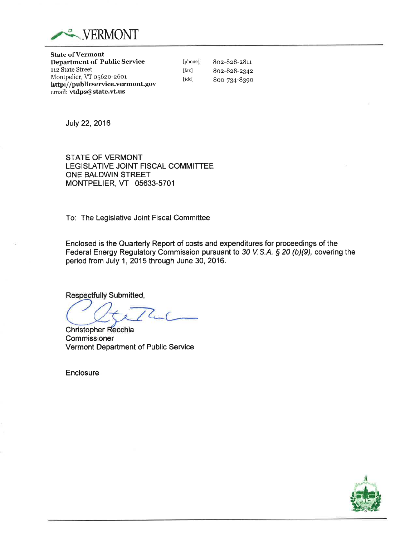

State of Vermont Department of Public Service 112 State Street Montpelier, VT o56zo-z6or http://publicservice.vermont.gov email: vtdps@state.vt.us

[phone 802-828-2811 8oz-828-2342 8oo-ZS4-839o

[fax] [tdd]

July 22,2016

STATE OF VERMONT LEGISLATIVE JOINT FISCAL COMMITTEE ONE BALDWIN STREET MONTPELIER, VT 05633-5701

To: The Legislative Joint Fiscal Committee

Enclosed is the Quarterly Report of costs and expenditures for proceedings of the Federal Energy Regulatory Commission pursuant to 30 V.S.A. \$ 20 (b)(9), covering the period from July 1, 2015 through June 30, 2016.

**Respectfully Submitted,** 

 $\sqrt{ }$ 

Christopher Recchia **Commissioner** Vermont Department of Public Service

**Enclosure**